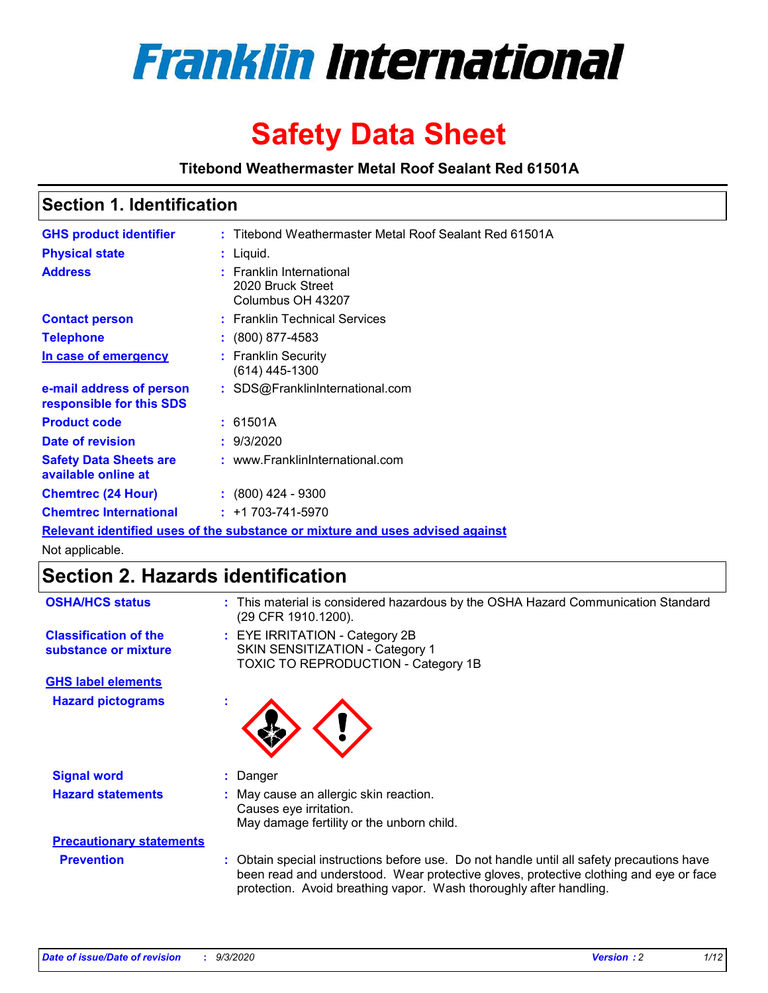

# **Safety Data Sheet**

**Titebond Weathermaster Metal Roof Sealant Red 61501A**

### **Section 1. Identification**

| <b>GHS product identifier</b>                                                 |  | : Titebond Weathermaster Metal Roof Sealant Red 61501A             |  |  |
|-------------------------------------------------------------------------------|--|--------------------------------------------------------------------|--|--|
| <b>Physical state</b>                                                         |  | $:$ Liquid.                                                        |  |  |
| <b>Address</b>                                                                |  | : Franklin International<br>2020 Bruck Street<br>Columbus OH 43207 |  |  |
| <b>Contact person</b>                                                         |  | : Franklin Technical Services                                      |  |  |
| <b>Telephone</b>                                                              |  | $\colon$ (800) 877-4583                                            |  |  |
| In case of emergency                                                          |  | : Franklin Security<br>(614) 445-1300                              |  |  |
| e-mail address of person<br>responsible for this SDS                          |  | : SDS@FranklinInternational.com                                    |  |  |
| <b>Product code</b>                                                           |  | : 61501A                                                           |  |  |
| Date of revision                                                              |  | : 9/3/2020                                                         |  |  |
| <b>Safety Data Sheets are</b><br>available online at                          |  | : www.FranklinInternational.com                                    |  |  |
| <b>Chemtrec (24 Hour)</b>                                                     |  | $\div$ (800) 424 - 9300                                            |  |  |
| <b>Chemtrec International</b>                                                 |  | $: +1703 - 741 - 5970$                                             |  |  |
| Relevant identified uses of the substance or mixture and uses advised against |  |                                                                    |  |  |

Not applicable.

### **Section 2. Hazards identification**

| <b>OSHA/HCS status</b>                               |    | : This material is considered hazardous by the OSHA Hazard Communication Standard<br>(29 CFR 1910.1200).                                                                                                                                                 |
|------------------------------------------------------|----|----------------------------------------------------------------------------------------------------------------------------------------------------------------------------------------------------------------------------------------------------------|
| <b>Classification of the</b><br>substance or mixture |    | : EYE IRRITATION - Category 2B<br>SKIN SENSITIZATION - Category 1<br>TOXIC TO REPRODUCTION - Category 1B                                                                                                                                                 |
| <b>GHS label elements</b>                            |    |                                                                                                                                                                                                                                                          |
| <b>Hazard pictograms</b>                             | ×. |                                                                                                                                                                                                                                                          |
| <b>Signal word</b>                                   | ÷. | Danger                                                                                                                                                                                                                                                   |
| <b>Hazard statements</b>                             |    | May cause an allergic skin reaction.<br>Causes eye irritation.<br>May damage fertility or the unborn child.                                                                                                                                              |
| <b>Precautionary statements</b>                      |    |                                                                                                                                                                                                                                                          |
| <b>Prevention</b>                                    |    | : Obtain special instructions before use. Do not handle until all safety precautions have<br>been read and understood. Wear protective gloves, protective clothing and eye or face<br>protection. Avoid breathing vapor. Wash thoroughly after handling. |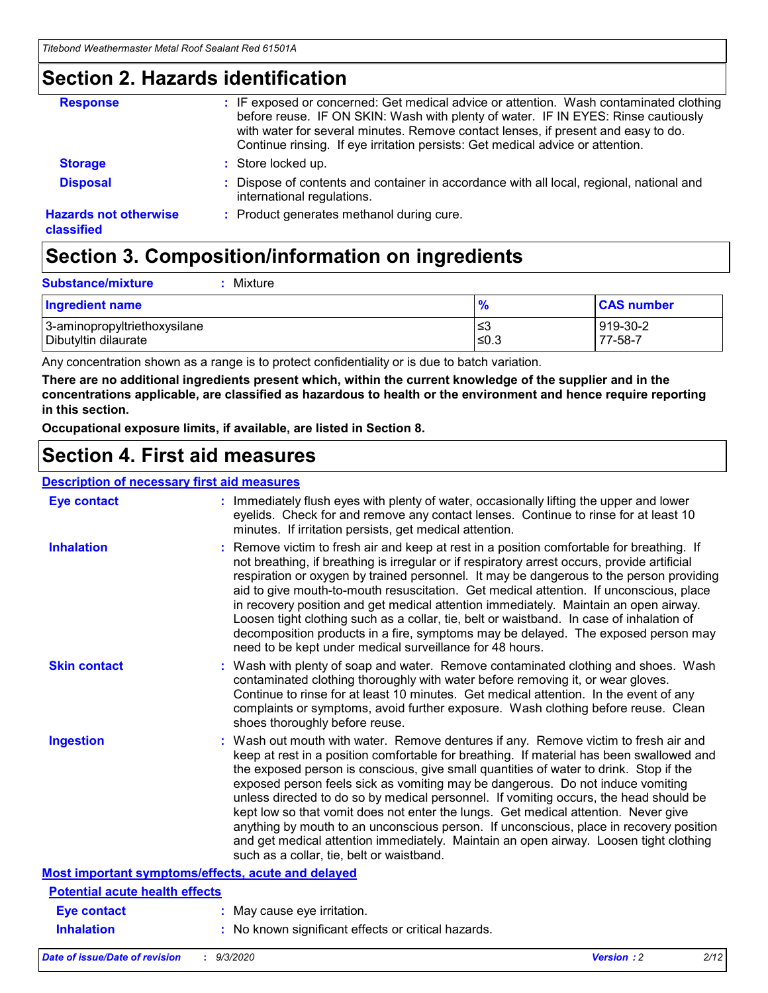### **Section 2. Hazards identification**

| <b>Response</b>                            | : IF exposed or concerned: Get medical advice or attention. Wash contaminated clothing<br>before reuse. IF ON SKIN: Wash with plenty of water. IF IN EYES: Rinse cautiously<br>with water for several minutes. Remove contact lenses, if present and easy to do.<br>Continue rinsing. If eye irritation persists: Get medical advice or attention. |
|--------------------------------------------|----------------------------------------------------------------------------------------------------------------------------------------------------------------------------------------------------------------------------------------------------------------------------------------------------------------------------------------------------|
| <b>Storage</b>                             | : Store locked up.                                                                                                                                                                                                                                                                                                                                 |
| <b>Disposal</b>                            | : Dispose of contents and container in accordance with all local, regional, national and<br>international regulations.                                                                                                                                                                                                                             |
| <b>Hazards not otherwise</b><br>classified | : Product generates methanol during cure.                                                                                                                                                                                                                                                                                                          |

## **Section 3. Composition/information on ingredients**

| <b>Substance/mixture</b> | Mixture |
|--------------------------|---------|
|                          |         |

| <b>Ingredient name</b>       | $\frac{9}{6}$ | <b>CAS number</b> |
|------------------------------|---------------|-------------------|
| 3-aminopropyltriethoxysilane | ՝≤3           | 919-30-2          |
| Dibutyltin dilaurate         | ∣≤0.3         | 77-58-7           |

Any concentration shown as a range is to protect confidentiality or is due to batch variation.

**There are no additional ingredients present which, within the current knowledge of the supplier and in the concentrations applicable, are classified as hazardous to health or the environment and hence require reporting in this section.**

**Occupational exposure limits, if available, are listed in Section 8.**

### **Section 4. First aid measures**

| <b>Description of necessary first aid measures</b> |                                                                                                                                                                                                                                                                                                                                                                                                                                                                                                                                                                                                                                                                                                                                                                           |
|----------------------------------------------------|---------------------------------------------------------------------------------------------------------------------------------------------------------------------------------------------------------------------------------------------------------------------------------------------------------------------------------------------------------------------------------------------------------------------------------------------------------------------------------------------------------------------------------------------------------------------------------------------------------------------------------------------------------------------------------------------------------------------------------------------------------------------------|
| <b>Eye contact</b>                                 | : Immediately flush eyes with plenty of water, occasionally lifting the upper and lower<br>eyelids. Check for and remove any contact lenses. Continue to rinse for at least 10<br>minutes. If irritation persists, get medical attention.                                                                                                                                                                                                                                                                                                                                                                                                                                                                                                                                 |
| <b>Inhalation</b>                                  | : Remove victim to fresh air and keep at rest in a position comfortable for breathing. If<br>not breathing, if breathing is irregular or if respiratory arrest occurs, provide artificial<br>respiration or oxygen by trained personnel. It may be dangerous to the person providing<br>aid to give mouth-to-mouth resuscitation. Get medical attention. If unconscious, place<br>in recovery position and get medical attention immediately. Maintain an open airway.<br>Loosen tight clothing such as a collar, tie, belt or waistband. In case of inhalation of<br>decomposition products in a fire, symptoms may be delayed. The exposed person may<br>need to be kept under medical surveillance for 48 hours.                                                       |
| <b>Skin contact</b>                                | : Wash with plenty of soap and water. Remove contaminated clothing and shoes. Wash<br>contaminated clothing thoroughly with water before removing it, or wear gloves.<br>Continue to rinse for at least 10 minutes. Get medical attention. In the event of any<br>complaints or symptoms, avoid further exposure. Wash clothing before reuse. Clean<br>shoes thoroughly before reuse.                                                                                                                                                                                                                                                                                                                                                                                     |
| <b>Ingestion</b>                                   | : Wash out mouth with water. Remove dentures if any. Remove victim to fresh air and<br>keep at rest in a position comfortable for breathing. If material has been swallowed and<br>the exposed person is conscious, give small quantities of water to drink. Stop if the<br>exposed person feels sick as vomiting may be dangerous. Do not induce vomiting<br>unless directed to do so by medical personnel. If vomiting occurs, the head should be<br>kept low so that vomit does not enter the lungs. Get medical attention. Never give<br>anything by mouth to an unconscious person. If unconscious, place in recovery position<br>and get medical attention immediately. Maintain an open airway. Loosen tight clothing<br>such as a collar, tie, belt or waistband. |
| Most important symptoms/effects, acute and delayed |                                                                                                                                                                                                                                                                                                                                                                                                                                                                                                                                                                                                                                                                                                                                                                           |
| <b>Potential acute health effects</b>              |                                                                                                                                                                                                                                                                                                                                                                                                                                                                                                                                                                                                                                                                                                                                                                           |
| <b>Eye contact</b>                                 | : May cause eye irritation.                                                                                                                                                                                                                                                                                                                                                                                                                                                                                                                                                                                                                                                                                                                                               |
| <b>Inhalation</b>                                  | : No known significant effects or critical hazards.                                                                                                                                                                                                                                                                                                                                                                                                                                                                                                                                                                                                                                                                                                                       |
|                                                    |                                                                                                                                                                                                                                                                                                                                                                                                                                                                                                                                                                                                                                                                                                                                                                           |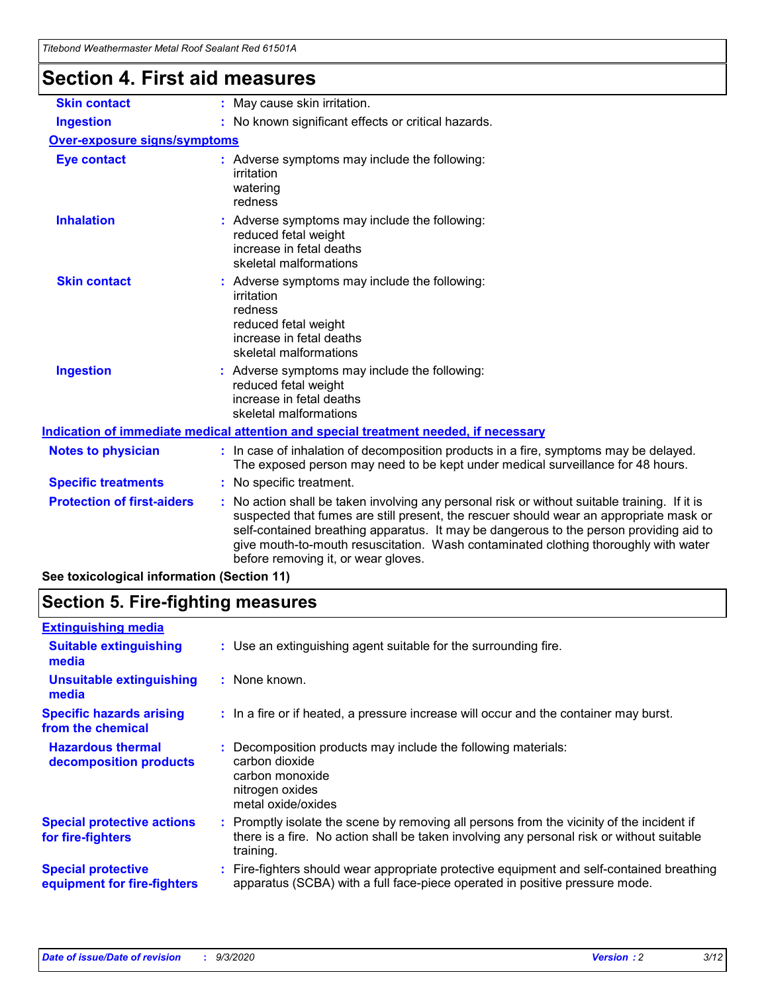| Titebond Weathermaster Metal Roof Sealant Red 61501A |                                                                                                                                                                                                                                                                                                                                                                                                               |  |  |  |
|------------------------------------------------------|---------------------------------------------------------------------------------------------------------------------------------------------------------------------------------------------------------------------------------------------------------------------------------------------------------------------------------------------------------------------------------------------------------------|--|--|--|
| <b>Section 4. First aid measures</b>                 |                                                                                                                                                                                                                                                                                                                                                                                                               |  |  |  |
| <b>Skin contact</b>                                  | : May cause skin irritation.                                                                                                                                                                                                                                                                                                                                                                                  |  |  |  |
| <b>Ingestion</b>                                     | : No known significant effects or critical hazards.                                                                                                                                                                                                                                                                                                                                                           |  |  |  |
| <b>Over-exposure signs/symptoms</b>                  |                                                                                                                                                                                                                                                                                                                                                                                                               |  |  |  |
| <b>Eye contact</b>                                   | : Adverse symptoms may include the following:<br>irritation<br>watering<br>redness                                                                                                                                                                                                                                                                                                                            |  |  |  |
| <b>Inhalation</b>                                    | : Adverse symptoms may include the following:<br>reduced fetal weight<br>increase in fetal deaths<br>skeletal malformations                                                                                                                                                                                                                                                                                   |  |  |  |
| <b>Skin contact</b>                                  | : Adverse symptoms may include the following:<br>irritation<br>redness<br>reduced fetal weight<br>increase in fetal deaths<br>skeletal malformations                                                                                                                                                                                                                                                          |  |  |  |
| <b>Ingestion</b>                                     | Adverse symptoms may include the following:<br>reduced fetal weight<br>increase in fetal deaths<br>skeletal malformations                                                                                                                                                                                                                                                                                     |  |  |  |
|                                                      | Indication of immediate medical attention and special treatment needed, if necessary                                                                                                                                                                                                                                                                                                                          |  |  |  |
| <b>Notes to physician</b>                            | : In case of inhalation of decomposition products in a fire, symptoms may be delayed.<br>The exposed person may need to be kept under medical surveillance for 48 hours.                                                                                                                                                                                                                                      |  |  |  |
| <b>Specific treatments</b>                           | : No specific treatment.                                                                                                                                                                                                                                                                                                                                                                                      |  |  |  |
| <b>Protection of first-aiders</b>                    | No action shall be taken involving any personal risk or without suitable training. If it is<br>suspected that fumes are still present, the rescuer should wear an appropriate mask or<br>self-contained breathing apparatus. It may be dangerous to the person providing aid to<br>give mouth-to-mouth resuscitation. Wash contaminated clothing thoroughly with water<br>before removing it, or wear gloves. |  |  |  |
| See toxicological information (Section 11)           |                                                                                                                                                                                                                                                                                                                                                                                                               |  |  |  |

### **Section 5. Fire-fighting measures**

| <b>Extinguishing media</b>                               |                                                                                                                                                                                                     |
|----------------------------------------------------------|-----------------------------------------------------------------------------------------------------------------------------------------------------------------------------------------------------|
| <b>Suitable extinguishing</b><br>media                   | : Use an extinguishing agent suitable for the surrounding fire.                                                                                                                                     |
| <b>Unsuitable extinguishing</b><br>media                 | : None known.                                                                                                                                                                                       |
| <b>Specific hazards arising</b><br>from the chemical     | : In a fire or if heated, a pressure increase will occur and the container may burst.                                                                                                               |
| <b>Hazardous thermal</b><br>decomposition products       | Decomposition products may include the following materials:<br>carbon dioxide<br>carbon monoxide<br>nitrogen oxides<br>metal oxide/oxides                                                           |
| <b>Special protective actions</b><br>for fire-fighters   | : Promptly isolate the scene by removing all persons from the vicinity of the incident if<br>there is a fire. No action shall be taken involving any personal risk or without suitable<br>training. |
| <b>Special protective</b><br>equipment for fire-fighters | Fire-fighters should wear appropriate protective equipment and self-contained breathing<br>apparatus (SCBA) with a full face-piece operated in positive pressure mode.                              |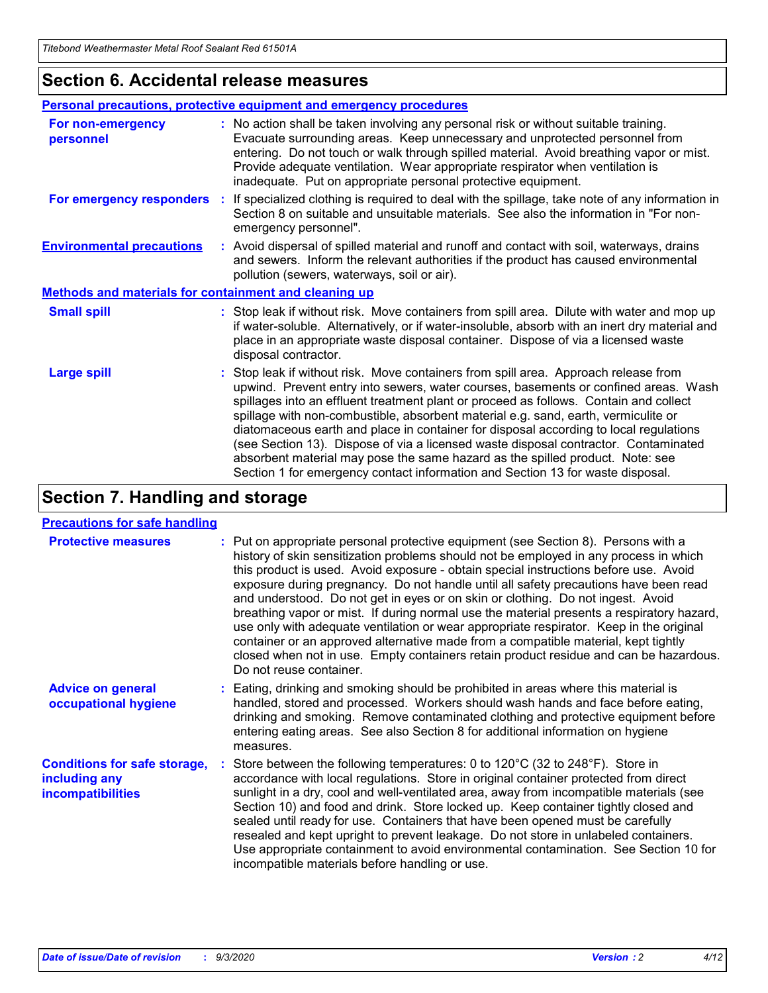### **Section 6. Accidental release measures**

|                                                              | Personal precautions, protective equipment and emergency procedures                                                                                                                                                                                                                                                                                                                                                                                                                                                                                                                                                                                                                                          |
|--------------------------------------------------------------|--------------------------------------------------------------------------------------------------------------------------------------------------------------------------------------------------------------------------------------------------------------------------------------------------------------------------------------------------------------------------------------------------------------------------------------------------------------------------------------------------------------------------------------------------------------------------------------------------------------------------------------------------------------------------------------------------------------|
| For non-emergency<br>personnel                               | : No action shall be taken involving any personal risk or without suitable training.<br>Evacuate surrounding areas. Keep unnecessary and unprotected personnel from<br>entering. Do not touch or walk through spilled material. Avoid breathing vapor or mist.<br>Provide adequate ventilation. Wear appropriate respirator when ventilation is<br>inadequate. Put on appropriate personal protective equipment.                                                                                                                                                                                                                                                                                             |
| For emergency responders                                     | : If specialized clothing is required to deal with the spillage, take note of any information in<br>Section 8 on suitable and unsuitable materials. See also the information in "For non-<br>emergency personnel".                                                                                                                                                                                                                                                                                                                                                                                                                                                                                           |
| <b>Environmental precautions</b>                             | : Avoid dispersal of spilled material and runoff and contact with soil, waterways, drains<br>and sewers. Inform the relevant authorities if the product has caused environmental<br>pollution (sewers, waterways, soil or air).                                                                                                                                                                                                                                                                                                                                                                                                                                                                              |
| <b>Methods and materials for containment and cleaning up</b> |                                                                                                                                                                                                                                                                                                                                                                                                                                                                                                                                                                                                                                                                                                              |
| <b>Small spill</b>                                           | : Stop leak if without risk. Move containers from spill area. Dilute with water and mop up<br>if water-soluble. Alternatively, or if water-insoluble, absorb with an inert dry material and<br>place in an appropriate waste disposal container. Dispose of via a licensed waste<br>disposal contractor.                                                                                                                                                                                                                                                                                                                                                                                                     |
| <b>Large spill</b>                                           | : Stop leak if without risk. Move containers from spill area. Approach release from<br>upwind. Prevent entry into sewers, water courses, basements or confined areas. Wash<br>spillages into an effluent treatment plant or proceed as follows. Contain and collect<br>spillage with non-combustible, absorbent material e.g. sand, earth, vermiculite or<br>diatomaceous earth and place in container for disposal according to local regulations<br>(see Section 13). Dispose of via a licensed waste disposal contractor. Contaminated<br>absorbent material may pose the same hazard as the spilled product. Note: see<br>Section 1 for emergency contact information and Section 13 for waste disposal. |

### **Section 7. Handling and storage**

#### **Precautions for safe handling**

| <b>Protective measures</b>                                                       | : Put on appropriate personal protective equipment (see Section 8). Persons with a<br>history of skin sensitization problems should not be employed in any process in which<br>this product is used. Avoid exposure - obtain special instructions before use. Avoid<br>exposure during pregnancy. Do not handle until all safety precautions have been read<br>and understood. Do not get in eyes or on skin or clothing. Do not ingest. Avoid<br>breathing vapor or mist. If during normal use the material presents a respiratory hazard,<br>use only with adequate ventilation or wear appropriate respirator. Keep in the original<br>container or an approved alternative made from a compatible material, kept tightly<br>closed when not in use. Empty containers retain product residue and can be hazardous.<br>Do not reuse container. |
|----------------------------------------------------------------------------------|--------------------------------------------------------------------------------------------------------------------------------------------------------------------------------------------------------------------------------------------------------------------------------------------------------------------------------------------------------------------------------------------------------------------------------------------------------------------------------------------------------------------------------------------------------------------------------------------------------------------------------------------------------------------------------------------------------------------------------------------------------------------------------------------------------------------------------------------------|
| <b>Advice on general</b><br>occupational hygiene                                 | : Eating, drinking and smoking should be prohibited in areas where this material is<br>handled, stored and processed. Workers should wash hands and face before eating,<br>drinking and smoking. Remove contaminated clothing and protective equipment before<br>entering eating areas. See also Section 8 for additional information on hygiene<br>measures.                                                                                                                                                                                                                                                                                                                                                                                                                                                                                    |
| <b>Conditions for safe storage,</b><br>including any<br><i>incompatibilities</i> | Store between the following temperatures: 0 to $120^{\circ}$ C (32 to $248^{\circ}$ F). Store in<br>accordance with local regulations. Store in original container protected from direct<br>sunlight in a dry, cool and well-ventilated area, away from incompatible materials (see<br>Section 10) and food and drink. Store locked up. Keep container tightly closed and<br>sealed until ready for use. Containers that have been opened must be carefully<br>resealed and kept upright to prevent leakage. Do not store in unlabeled containers.<br>Use appropriate containment to avoid environmental contamination. See Section 10 for<br>incompatible materials before handling or use.                                                                                                                                                     |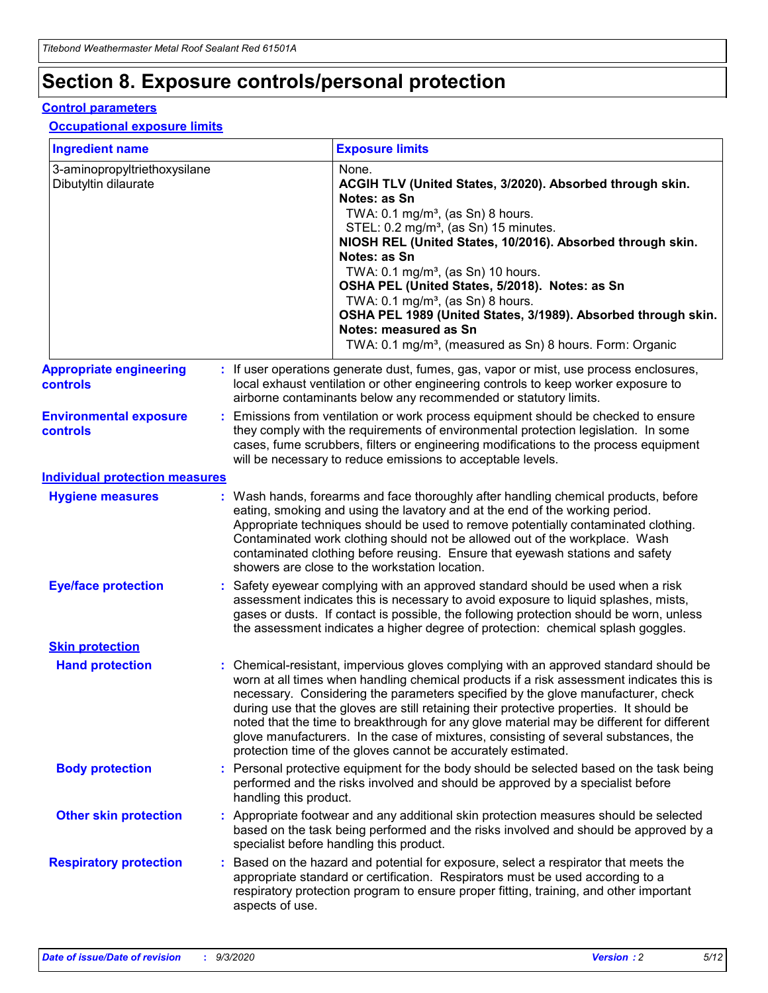# **Section 8. Exposure controls/personal protection**

#### **Control parameters**

#### **Occupational exposure limits**

| <b>Ingredient name</b>                               |    |                                          | <b>Exposure limits</b>                                                                                                                                                                                                                                                                                                                                                                                                                                                                                                                                                                                                 |
|------------------------------------------------------|----|------------------------------------------|------------------------------------------------------------------------------------------------------------------------------------------------------------------------------------------------------------------------------------------------------------------------------------------------------------------------------------------------------------------------------------------------------------------------------------------------------------------------------------------------------------------------------------------------------------------------------------------------------------------------|
| 3-aminopropyltriethoxysilane<br>Dibutyltin dilaurate |    |                                          | None.<br>ACGIH TLV (United States, 3/2020). Absorbed through skin.<br>Notes: as Sn<br>TWA: 0.1 mg/m <sup>3</sup> , (as Sn) 8 hours.<br>STEL: 0.2 mg/m <sup>3</sup> , (as Sn) 15 minutes.<br>NIOSH REL (United States, 10/2016). Absorbed through skin.<br>Notes: as Sn<br>TWA: 0.1 mg/m <sup>3</sup> , (as Sn) 10 hours.<br>OSHA PEL (United States, 5/2018). Notes: as Sn<br>TWA: $0.1 \text{ mg/m}^3$ , (as Sn) 8 hours.<br>OSHA PEL 1989 (United States, 3/1989). Absorbed through skin.<br>Notes: measured as Sn<br>TWA: 0.1 mg/m <sup>3</sup> , (measured as Sn) 8 hours. Form: Organic                           |
| <b>Appropriate engineering</b><br>controls           |    |                                          | : If user operations generate dust, fumes, gas, vapor or mist, use process enclosures,<br>local exhaust ventilation or other engineering controls to keep worker exposure to<br>airborne contaminants below any recommended or statutory limits.                                                                                                                                                                                                                                                                                                                                                                       |
| <b>Environmental exposure</b><br><b>controls</b>     |    |                                          | Emissions from ventilation or work process equipment should be checked to ensure<br>they comply with the requirements of environmental protection legislation. In some<br>cases, fume scrubbers, filters or engineering modifications to the process equipment<br>will be necessary to reduce emissions to acceptable levels.                                                                                                                                                                                                                                                                                          |
| <b>Individual protection measures</b>                |    |                                          |                                                                                                                                                                                                                                                                                                                                                                                                                                                                                                                                                                                                                        |
| <b>Hygiene measures</b>                              |    |                                          | : Wash hands, forearms and face thoroughly after handling chemical products, before<br>eating, smoking and using the lavatory and at the end of the working period.<br>Appropriate techniques should be used to remove potentially contaminated clothing.<br>Contaminated work clothing should not be allowed out of the workplace. Wash<br>contaminated clothing before reusing. Ensure that eyewash stations and safety<br>showers are close to the workstation location.                                                                                                                                            |
| <b>Eye/face protection</b>                           |    |                                          | : Safety eyewear complying with an approved standard should be used when a risk<br>assessment indicates this is necessary to avoid exposure to liquid splashes, mists,<br>gases or dusts. If contact is possible, the following protection should be worn, unless<br>the assessment indicates a higher degree of protection: chemical splash goggles.                                                                                                                                                                                                                                                                  |
| <b>Skin protection</b>                               |    |                                          |                                                                                                                                                                                                                                                                                                                                                                                                                                                                                                                                                                                                                        |
| <b>Hand protection</b>                               |    |                                          | : Chemical-resistant, impervious gloves complying with an approved standard should be<br>worn at all times when handling chemical products if a risk assessment indicates this is<br>necessary. Considering the parameters specified by the glove manufacturer, check<br>during use that the gloves are still retaining their protective properties. It should be<br>noted that the time to breakthrough for any glove material may be different for different<br>glove manufacturers. In the case of mixtures, consisting of several substances, the<br>protection time of the gloves cannot be accurately estimated. |
| <b>Body protection</b>                               |    | handling this product.                   | Personal protective equipment for the body should be selected based on the task being<br>performed and the risks involved and should be approved by a specialist before                                                                                                                                                                                                                                                                                                                                                                                                                                                |
| <b>Other skin protection</b>                         |    | specialist before handling this product. | : Appropriate footwear and any additional skin protection measures should be selected<br>based on the task being performed and the risks involved and should be approved by a                                                                                                                                                                                                                                                                                                                                                                                                                                          |
| <b>Respiratory protection</b>                        | ÷. | aspects of use.                          | Based on the hazard and potential for exposure, select a respirator that meets the<br>appropriate standard or certification. Respirators must be used according to a<br>respiratory protection program to ensure proper fitting, training, and other important                                                                                                                                                                                                                                                                                                                                                         |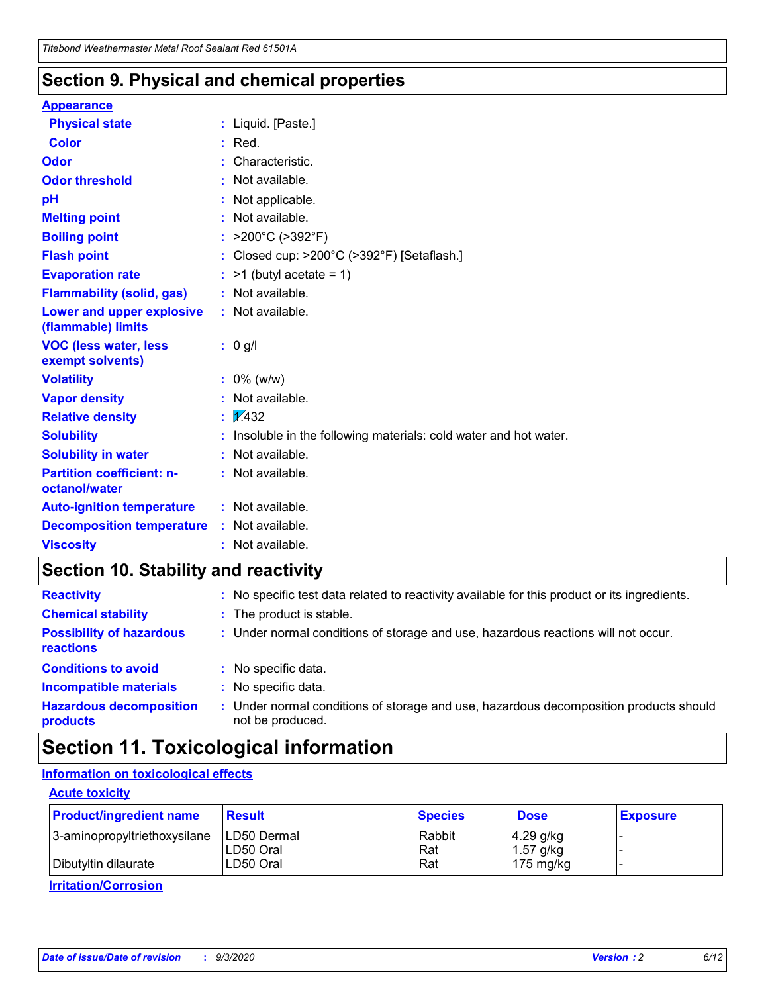### **Section 9. Physical and chemical properties**

#### **Appearance**

| <b>Physical state</b>                             |    | : Liquid. [Paste.]                                              |
|---------------------------------------------------|----|-----------------------------------------------------------------|
| <b>Color</b>                                      |    | Red.                                                            |
| Odor                                              |    | Characteristic.                                                 |
| <b>Odor threshold</b>                             | ÷. | Not available.                                                  |
| pH                                                |    | Not applicable.                                                 |
| <b>Melting point</b>                              |    | : Not available.                                                |
| <b>Boiling point</b>                              |    | : $>200^{\circ}$ C ( $>392^{\circ}$ F)                          |
| <b>Flash point</b>                                |    | : Closed cup: >200°C (>392°F) [Setaflash.]                      |
| <b>Evaporation rate</b>                           |    | $:$ >1 (butyl acetate = 1)                                      |
| <b>Flammability (solid, gas)</b>                  |    | : Not available.                                                |
| Lower and upper explosive<br>(flammable) limits   |    | : Not available.                                                |
| <b>VOC (less water, less)</b><br>exempt solvents) |    | : 0 g/l                                                         |
| <b>Volatility</b>                                 |    | $: 0\%$ (w/w)                                                   |
| <b>Vapor density</b>                              |    | Not available.                                                  |
| <b>Relative density</b>                           |    | $\frac{1}{2}$ 2.432                                             |
| <b>Solubility</b>                                 |    | Insoluble in the following materials: cold water and hot water. |
| <b>Solubility in water</b>                        |    | Not available.                                                  |
| <b>Partition coefficient: n-</b><br>octanol/water |    | $:$ Not available.                                              |
| <b>Auto-ignition temperature</b>                  |    | : Not available.                                                |
| <b>Decomposition temperature</b>                  |    | : Not available.                                                |
| <b>Viscosity</b>                                  |    | : Not available.                                                |

### **Section 10. Stability and reactivity**

| <b>Reactivity</b>                            |    | : No specific test data related to reactivity available for this product or its ingredients.            |
|----------------------------------------------|----|---------------------------------------------------------------------------------------------------------|
| <b>Chemical stability</b>                    |    | : The product is stable.                                                                                |
| <b>Possibility of hazardous</b><br>reactions |    | : Under normal conditions of storage and use, hazardous reactions will not occur.                       |
| <b>Conditions to avoid</b>                   |    | : No specific data.                                                                                     |
| <b>Incompatible materials</b>                |    | : No specific data.                                                                                     |
| <b>Hazardous decomposition</b><br>products   | ÷. | Under normal conditions of storage and use, hazardous decomposition products should<br>not be produced. |

### **Section 11. Toxicological information**

#### **Information on toxicological effects**

#### **Acute toxicity**

| <b>Product/ingredient name</b> | <b>Result</b>           | <b>Species</b> | <b>Dose</b>                | <b>Exposure</b> |
|--------------------------------|-------------------------|----------------|----------------------------|-----------------|
| 3-aminopropyltriethoxysilane   | <b>ILD50 Dermal</b>     | Rabbit         | 4.29 g/kg                  |                 |
| Dibutyltin dilaurate           | ILD50 Oral<br>LD50 Oral | Rat<br>Rat     | $1.57$ g/kg<br>175 $mg/kg$ |                 |
|                                |                         |                |                            |                 |

**Irritation/Corrosion**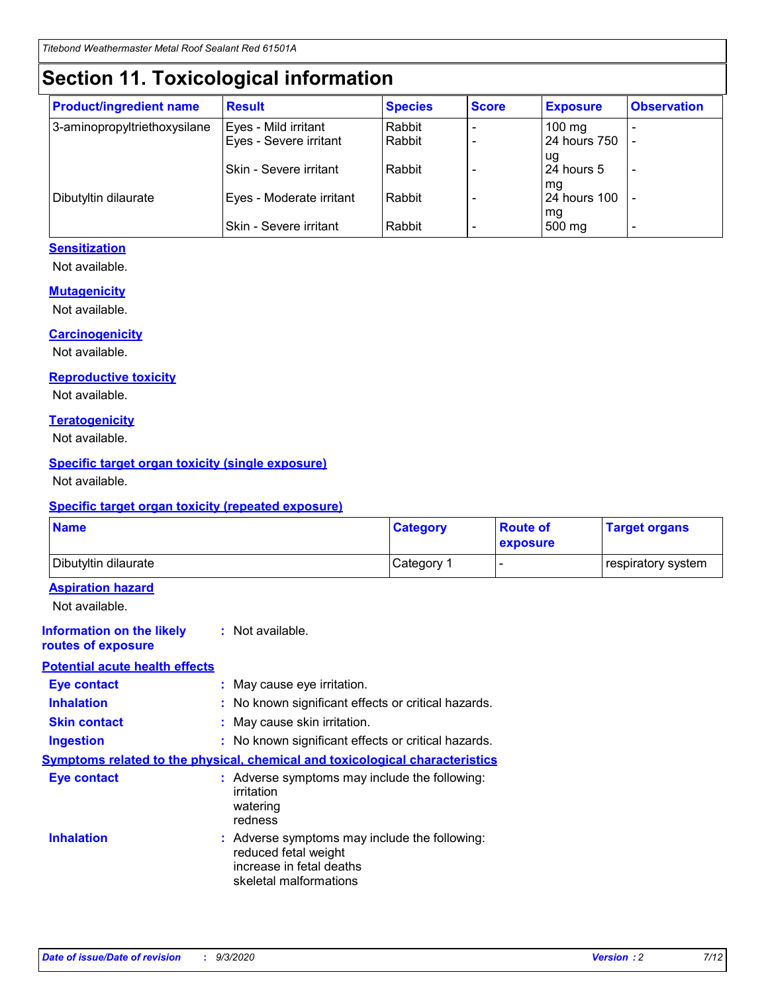# **Section 11. Toxicological information**

| <b>Product/ingredient name</b> | <b>Result</b>                 | <b>Species</b> | <b>Score</b> | <b>Exposure</b>    | <b>Observation</b>       |
|--------------------------------|-------------------------------|----------------|--------------|--------------------|--------------------------|
| 3-aminopropyltriethoxysilane   | Eyes - Mild irritant          | Rabbit         |              | $100 \text{ mg}$   |                          |
|                                | Eyes - Severe irritant        | Rabbit         |              | 24 hours 750       |                          |
|                                |                               |                |              | ug                 |                          |
|                                | <b>Skin - Severe irritant</b> | Rabbit         |              | 24 hours 5         | $\overline{\phantom{0}}$ |
| Dibutyltin dilaurate           | Eyes - Moderate irritant      | Rabbit         |              | mg<br>24 hours 100 |                          |
|                                |                               |                |              | mg                 |                          |
|                                | Skin - Severe irritant        | Rabbit         |              | 500 mg             | -                        |

#### **Sensitization**

Not available.

#### **Mutagenicity**

Not available.

#### **Carcinogenicity**

Not available.

#### **Reproductive toxicity**

Not available.

#### **Teratogenicity**

Not available.

#### **Specific target organ toxicity (single exposure)**

Not available.

#### **Specific target organ toxicity (repeated exposure)**

| <b>Name</b>                                                                         |                                                                            | <b>Category</b>                                     | <b>Route of</b><br>exposure | <b>Target organs</b> |  |  |
|-------------------------------------------------------------------------------------|----------------------------------------------------------------------------|-----------------------------------------------------|-----------------------------|----------------------|--|--|
| Dibutyltin dilaurate                                                                |                                                                            | Category 1                                          | -                           | respiratory system   |  |  |
| <b>Aspiration hazard</b><br>Not available.                                          |                                                                            |                                                     |                             |                      |  |  |
| <b>Information on the likely</b><br>routes of exposure                              | : Not available.                                                           |                                                     |                             |                      |  |  |
| <b>Potential acute health effects</b>                                               |                                                                            |                                                     |                             |                      |  |  |
| <b>Eye contact</b>                                                                  | : May cause eye irritation.                                                |                                                     |                             |                      |  |  |
| <b>Inhalation</b>                                                                   |                                                                            | : No known significant effects or critical hazards. |                             |                      |  |  |
| <b>Skin contact</b>                                                                 |                                                                            | : May cause skin irritation.                        |                             |                      |  |  |
| <b>Ingestion</b>                                                                    |                                                                            | : No known significant effects or critical hazards. |                             |                      |  |  |
| <b>Symptoms related to the physical, chemical and toxicological characteristics</b> |                                                                            |                                                     |                             |                      |  |  |
| <b>Eye contact</b>                                                                  | irritation<br>watering<br>redness                                          | : Adverse symptoms may include the following:       |                             |                      |  |  |
| <b>Inhalation</b>                                                                   | reduced fetal weight<br>increase in fetal deaths<br>skeletal malformations | : Adverse symptoms may include the following:       |                             |                      |  |  |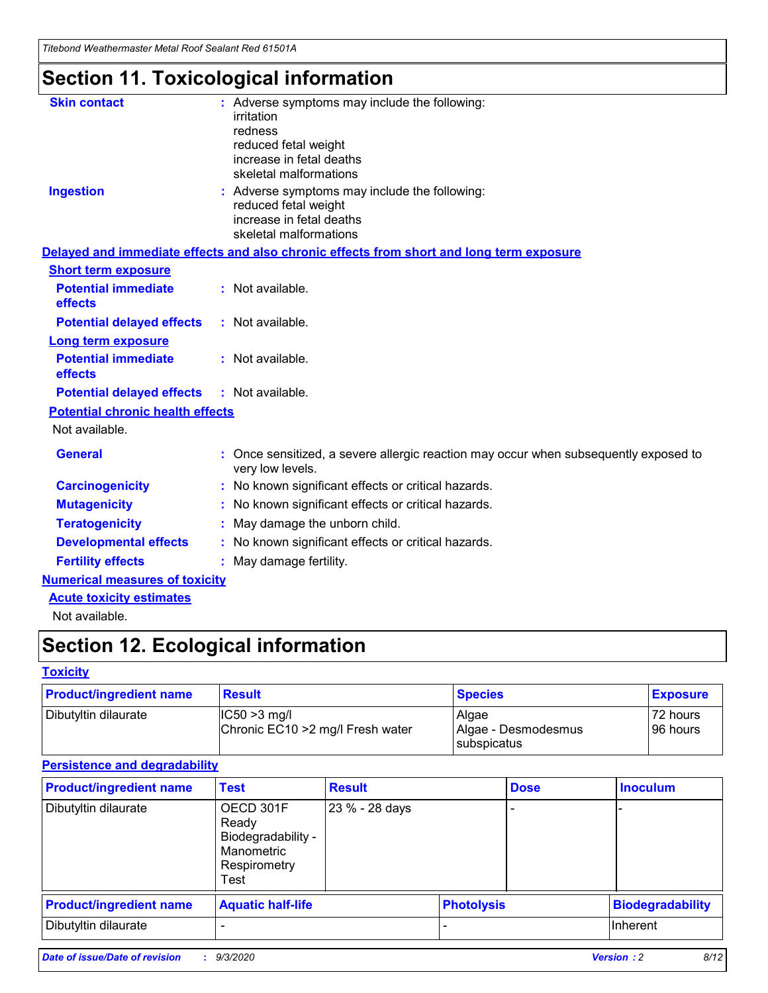*Titebond Weathermaster Metal Roof Sealant Red 61501A*

# **Section 11. Toxicological information**

| <b>Skin contact</b>                     | : Adverse symptoms may include the following:<br>irritation                                                                 |  |
|-----------------------------------------|-----------------------------------------------------------------------------------------------------------------------------|--|
|                                         | redness                                                                                                                     |  |
|                                         | reduced fetal weight<br>increase in fetal deaths                                                                            |  |
|                                         | skeletal malformations                                                                                                      |  |
| <b>Ingestion</b>                        | : Adverse symptoms may include the following:<br>reduced fetal weight<br>increase in fetal deaths<br>skeletal malformations |  |
|                                         | Delayed and immediate effects and also chronic effects from short and long term exposure                                    |  |
| <b>Short term exposure</b>              |                                                                                                                             |  |
| <b>Potential immediate</b><br>effects   | : Not available.                                                                                                            |  |
| <b>Potential delayed effects</b>        | : Not available.                                                                                                            |  |
| <b>Long term exposure</b>               |                                                                                                                             |  |
| <b>Potential immediate</b><br>effects   | : Not available.                                                                                                            |  |
| <b>Potential delayed effects</b>        | : Not available.                                                                                                            |  |
| <b>Potential chronic health effects</b> |                                                                                                                             |  |
| Not available.                          |                                                                                                                             |  |
| <b>General</b>                          | Once sensitized, a severe allergic reaction may occur when subsequently exposed to<br>very low levels.                      |  |
| <b>Carcinogenicity</b>                  | : No known significant effects or critical hazards.                                                                         |  |
| <b>Mutagenicity</b>                     | : No known significant effects or critical hazards.                                                                         |  |
| <b>Teratogenicity</b>                   | May damage the unborn child.                                                                                                |  |
| <b>Developmental effects</b>            | : No known significant effects or critical hazards.                                                                         |  |
| <b>Fertility effects</b>                | May damage fertility.                                                                                                       |  |
| <b>Numerical measures of toxicity</b>   |                                                                                                                             |  |
| <b>Acute toxicity estimates</b>         |                                                                                                                             |  |
| الملحلة والمستحيط والمسالم              |                                                                                                                             |  |

Not available.

# **Section 12. Ecological information**

#### **Toxicity**

| <b>Product/ingredient name</b> | <b>Result</b>                                       | <b>Species</b>               | <b>Exposure</b>       |
|--------------------------------|-----------------------------------------------------|------------------------------|-----------------------|
| Dibutyltin dilaurate           | $ CC50>3$ mg/l<br>Chronic EC10 > 2 mg/l Fresh water | Algae<br>Algae - Desmodesmus | 72 hours<br>196 hours |
|                                |                                                     | <b>I</b> subspicatus         |                       |

#### **Persistence and degradability**

| <b>Product/ingredient name</b> | <b>Test</b>                                                                    | <b>Result</b>  |                   | <b>Dose</b> | <b>Inoculum</b>         |
|--------------------------------|--------------------------------------------------------------------------------|----------------|-------------------|-------------|-------------------------|
| Dibutyltin dilaurate           | OECD 301F<br>Ready<br>Biodegradability -<br>Manometric<br>Respirometry<br>Test | 23 % - 28 days |                   |             |                         |
| <b>Product/ingredient name</b> | <b>Aquatic half-life</b>                                                       |                | <b>Photolysis</b> |             | <b>Biodegradability</b> |
| Dibutyltin dilaurate           |                                                                                |                |                   |             | <b>Inherent</b>         |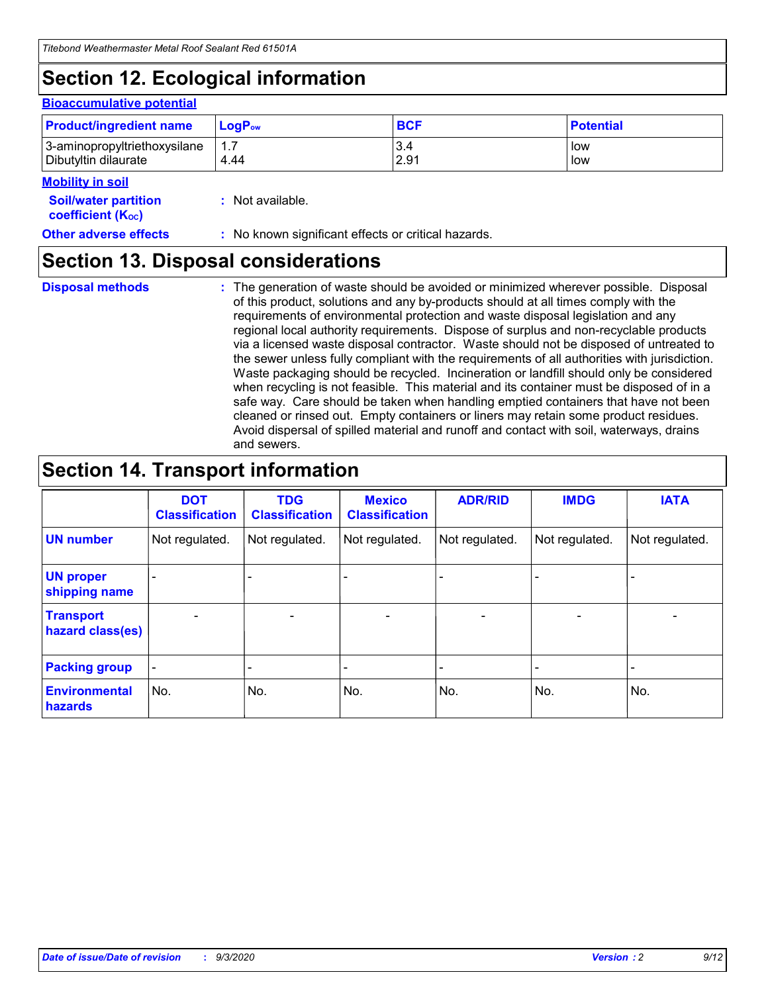# **Section 12. Ecological information**

#### **Bioaccumulative potential**

| <b>Product/ingredient name</b> | $LogPow$ | <b>BCF</b> | <b>Potential</b> |
|--------------------------------|----------|------------|------------------|
| 3-aminopropyltriethoxysilane   | 1.7      | 3.4        | low              |
| Dibutyltin dilaurate           | 4.44     | 2.91       | low              |

#### **Mobility in soil**

| <b>MODILLY III SOIL</b>                                       |                                                     |
|---------------------------------------------------------------|-----------------------------------------------------|
| <b>Soil/water partition</b><br>coefficient (K <sub>oc</sub> ) | : Not available.                                    |
| <b>Other adverse effects</b>                                  | : No known significant effects or critical hazards. |

### **Section 13. Disposal considerations**

**Disposal methods :**

The generation of waste should be avoided or minimized wherever possible. Disposal of this product, solutions and any by-products should at all times comply with the requirements of environmental protection and waste disposal legislation and any regional local authority requirements. Dispose of surplus and non-recyclable products via a licensed waste disposal contractor. Waste should not be disposed of untreated to the sewer unless fully compliant with the requirements of all authorities with jurisdiction. Waste packaging should be recycled. Incineration or landfill should only be considered when recycling is not feasible. This material and its container must be disposed of in a safe way. Care should be taken when handling emptied containers that have not been cleaned or rinsed out. Empty containers or liners may retain some product residues. Avoid dispersal of spilled material and runoff and contact with soil, waterways, drains and sewers.

### **Section 14. Transport information**

|                                      | <b>DOT</b><br><b>Classification</b> | <b>TDG</b><br><b>Classification</b> | <b>Mexico</b><br><b>Classification</b> | <b>ADR/RID</b>           | <b>IMDG</b>              | <b>IATA</b>    |
|--------------------------------------|-------------------------------------|-------------------------------------|----------------------------------------|--------------------------|--------------------------|----------------|
| <b>UN number</b>                     | Not regulated.                      | Not regulated.                      | Not regulated.                         | Not regulated.           | Not regulated.           | Not regulated. |
| <b>UN proper</b><br>shipping name    |                                     |                                     |                                        |                          |                          |                |
| <b>Transport</b><br>hazard class(es) |                                     | $\overline{\phantom{0}}$            | $\qquad \qquad \blacksquare$           | $\overline{\phantom{0}}$ | $\overline{\phantom{0}}$ |                |
| <b>Packing group</b>                 |                                     |                                     |                                        |                          |                          |                |
| <b>Environmental</b><br>hazards      | No.                                 | No.                                 | No.                                    | No.                      | No.                      | No.            |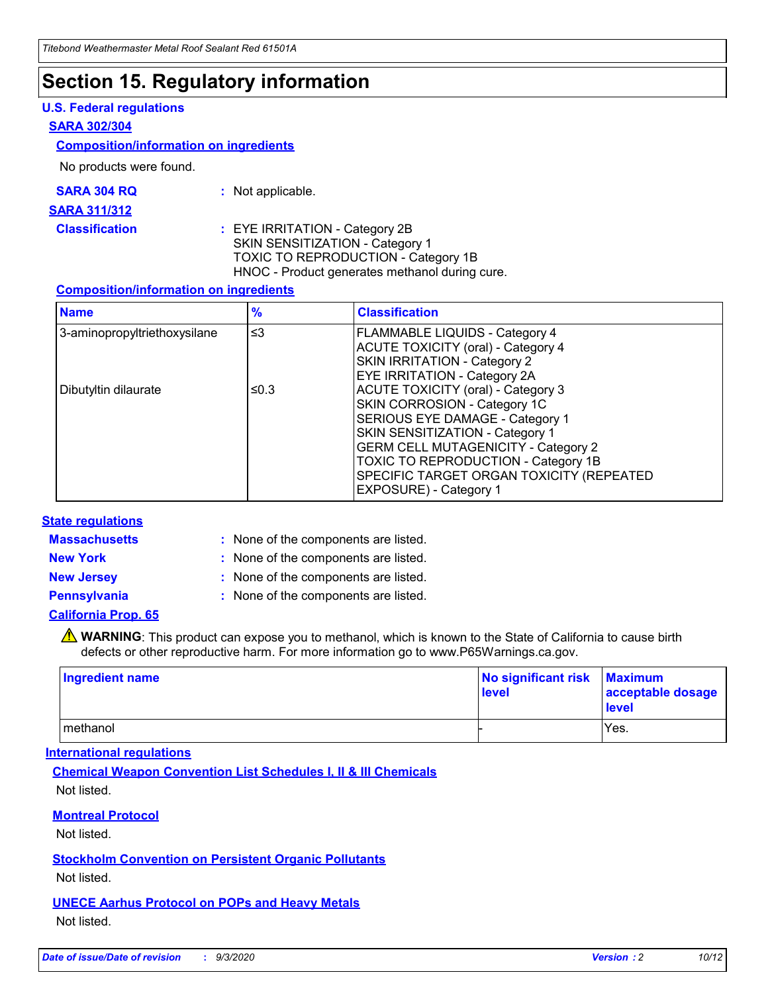### **Section 15. Regulatory information**

#### **U.S. Federal regulations**

#### **SARA 302/304**

#### **Composition/information on ingredients**

No products were found.

| SARA 304 RQ | Not applicable. |
|-------------|-----------------|
|-------------|-----------------|

#### **SARA 311/312**

**Classification :** EYE IRRITATION - Category 2B SKIN SENSITIZATION - Category 1 TOXIC TO REPRODUCTION - Category 1B HNOC - Product generates methanol during cure.

#### **Composition/information on ingredients**

| <b>Name</b>                  | $\frac{9}{6}$ | <b>Classification</b>                                                                                                                                                                                                                                                                                      |
|------------------------------|---------------|------------------------------------------------------------------------------------------------------------------------------------------------------------------------------------------------------------------------------------------------------------------------------------------------------------|
| 3-aminopropyltriethoxysilane | $\leq$ 3      | <b>FLAMMABLE LIQUIDS - Category 4</b><br><b>ACUTE TOXICITY (oral) - Category 4</b><br><b>SKIN IRRITATION - Category 2</b><br>EYE IRRITATION - Category 2A                                                                                                                                                  |
| Dibutyltin dilaurate         | ≤0.3          | <b>ACUTE TOXICITY (oral) - Category 3</b><br>SKIN CORROSION - Category 1C<br>SERIOUS EYE DAMAGE - Category 1<br>SKIN SENSITIZATION - Category 1<br><b>GERM CELL MUTAGENICITY - Category 2</b><br>TOXIC TO REPRODUCTION - Category 1B<br>SPECIFIC TARGET ORGAN TOXICITY (REPEATED<br>EXPOSURE) - Category 1 |

#### **State regulations**

**Massachusetts :**

: None of the components are listed.

**New York :** None of the components are listed. **New Jersey :** None of the components are listed.

**Pennsylvania :** None of the components are listed.

#### **California Prop. 65**

WARNING: This product can expose you to methanol, which is known to the State of California to cause birth defects or other reproductive harm. For more information go to www.P65Warnings.ca.gov.

| Ingredient name | No significant risk<br>level | <b>Maximum</b><br>acceptable dosage<br><b>level</b> |
|-----------------|------------------------------|-----------------------------------------------------|
| l methanol      |                              | Yes.                                                |

#### **International regulations**

**Chemical Weapon Convention List Schedules I, II & III Chemicals** Not listed.

#### **Montreal Protocol**

Not listed.

**Stockholm Convention on Persistent Organic Pollutants**

Not listed.

#### **UNECE Aarhus Protocol on POPs and Heavy Metals** Not listed.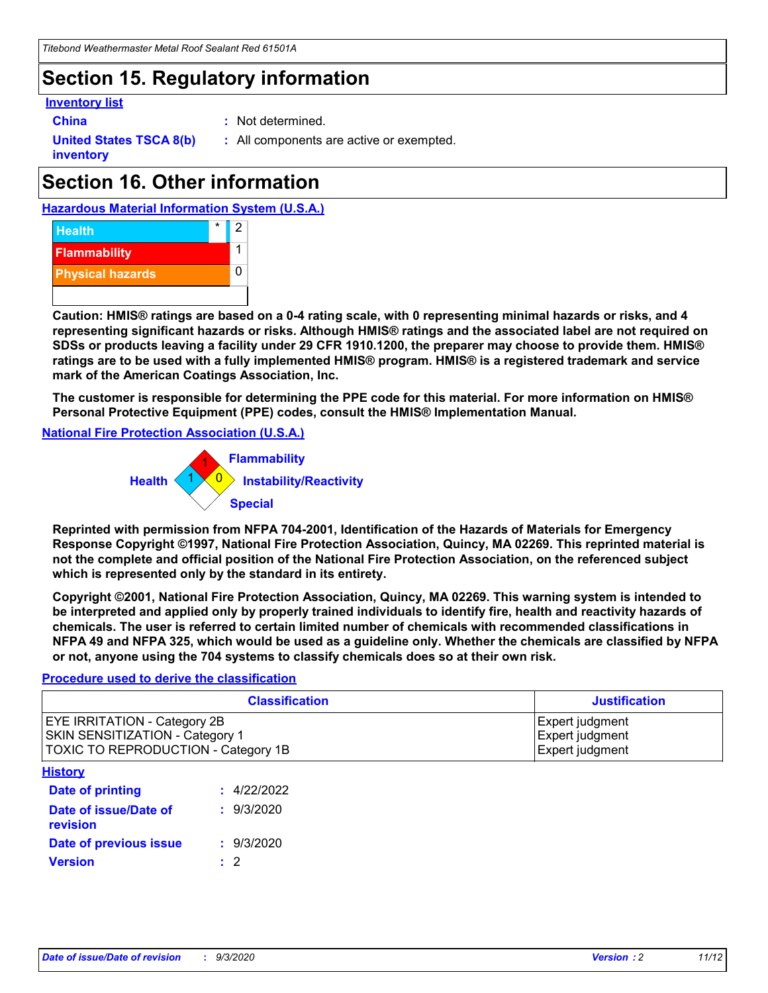### **Section 15. Regulatory information**

#### **Inventory list**

- 
- **China :** Not determined.

**United States TSCA 8(b) inventory**

**:** All components are active or exempted.

# **Section 16. Other information**





**Caution: HMIS® ratings are based on a 0-4 rating scale, with 0 representing minimal hazards or risks, and 4 representing significant hazards or risks. Although HMIS® ratings and the associated label are not required on SDSs or products leaving a facility under 29 CFR 1910.1200, the preparer may choose to provide them. HMIS® ratings are to be used with a fully implemented HMIS® program. HMIS® is a registered trademark and service mark of the American Coatings Association, Inc.**

**The customer is responsible for determining the PPE code for this material. For more information on HMIS® Personal Protective Equipment (PPE) codes, consult the HMIS® Implementation Manual.**

**National Fire Protection Association (U.S.A.)**



**Reprinted with permission from NFPA 704-2001, Identification of the Hazards of Materials for Emergency Response Copyright ©1997, National Fire Protection Association, Quincy, MA 02269. This reprinted material is not the complete and official position of the National Fire Protection Association, on the referenced subject which is represented only by the standard in its entirety.**

**Copyright ©2001, National Fire Protection Association, Quincy, MA 02269. This warning system is intended to be interpreted and applied only by properly trained individuals to identify fire, health and reactivity hazards of chemicals. The user is referred to certain limited number of chemicals with recommended classifications in NFPA 49 and NFPA 325, which would be used as a guideline only. Whether the chemicals are classified by NFPA or not, anyone using the 704 systems to classify chemicals does so at their own risk.**

#### **Procedure used to derive the classification**

| <b>Classification</b>                                                                                         | <b>Justification</b>                                  |
|---------------------------------------------------------------------------------------------------------------|-------------------------------------------------------|
| <b>EYE IRRITATION - Category 2B</b><br>SKIN SENSITIZATION - Category 1<br>TOXIC TO REPRODUCTION - Category 1B | Expert judgment<br>Expert judgment<br>Expert judgment |
| <b>History</b>                                                                                                |                                                       |

| .                                 |             |
|-----------------------------------|-------------|
| <b>Date of printing</b>           | : 4/22/2022 |
| Date of issue/Date of<br>revision | : 9/3/2020  |
| Date of previous issue            | : 9/3/2020  |
| <b>Version</b>                    | $\cdot$ 2   |
|                                   |             |